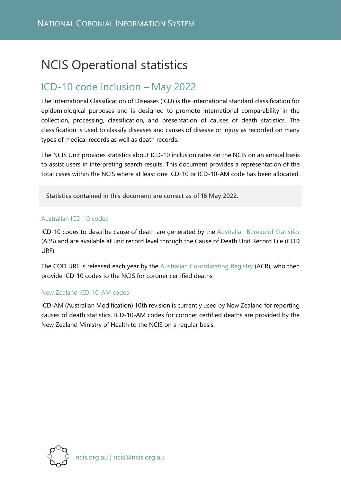# NCIS Operational statistics

# ICD-10 code inclusion – May 2022

The International Classification of Diseases (ICD) is the international standard classification for epidemiological purposes and is designed to promote international comparability in the collection, processing, classification, and presentation of causes of death statistics. The classification is used to classify diseases and causes of disease or injury as recorded on many types of medical records as well as death records.

The NCIS Unit provides statistics about ICD-10 inclusion rates on the NCIS on an annual basis to assist users in interpreting search results. This document provides a representation of the total cases within the NCIS where at least one ICD-10 or ICD-10-AM code has been allocated.

**Statistics contained in this document are correct as of 16 May 2022.**

#### Australian ICD-10 codes

ICD-10 codes to describe cause of death are generated by the [Australian Bureau of Statistics](http://www.abs.gov.au/) (ABS) and are available at unit record level through the Cause of Death Unit Record File (COD URF).

The COD URF is released each year by the [Australian Co-ordinating Registry](https://www.qld.gov.au/law/births-deaths-marriages-and-divorces/data/national-data) (ACR), who then provide ICD-10 codes to the NCIS for coroner certified deaths.

#### New Zealand ICD-10-AM codes

ICD-AM (Australian Modification) 10th revision is currently used by New Zealand for reporting causes of death statistics. ICD-10-AM codes for coroner certified deaths are provided by the New Zealand Ministry of Health to the NCIS on a regular basis.

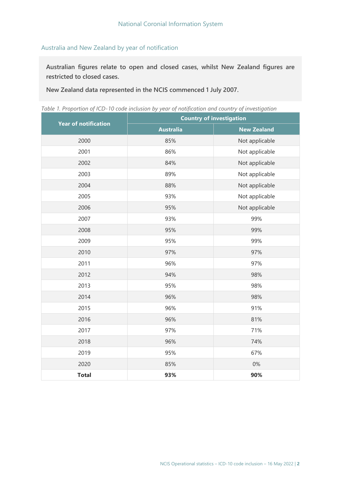## Australia and New Zealand by year of notification

**Australian figures relate to open and closed cases, whilst New Zealand figures are restricted to closed cases.** 

**New Zealand data represented in the NCIS commenced 1 July 2007.**

*Table 1. Proportion of ICD-10 code inclusion by year of notification and country of investigation*

|                             | <b>Country of investigation</b> |                    |  |  |
|-----------------------------|---------------------------------|--------------------|--|--|
| <b>Year of notification</b> | <b>Australia</b>                | <b>New Zealand</b> |  |  |
| 2000                        | 85%                             | Not applicable     |  |  |
| 2001                        | 86%                             | Not applicable     |  |  |
| 2002                        | 84%                             | Not applicable     |  |  |
| 2003                        | 89%                             | Not applicable     |  |  |
| 2004                        | 88%                             | Not applicable     |  |  |
| 2005                        | 93%                             | Not applicable     |  |  |
| 2006                        | 95%                             | Not applicable     |  |  |
| 2007                        | 93%                             | 99%                |  |  |
| 2008                        | 95%                             | 99%                |  |  |
| 2009                        | 95%                             | 99%                |  |  |
| 2010                        | 97%                             | 97%                |  |  |
| 2011                        | 96%                             | 97%                |  |  |
| 2012                        | 94%                             | 98%                |  |  |
| 2013                        | 95%                             | 98%                |  |  |
| 2014                        | 96%                             | 98%                |  |  |
| 2015                        | 96%                             | 91%                |  |  |
| 2016                        | 96%                             | 81%                |  |  |
| 2017                        | 97%                             | 71%                |  |  |
| 2018                        | 96%                             | 74%                |  |  |
| 2019                        | 95%                             | 67%                |  |  |
| 2020                        | 85%                             | $0\%$              |  |  |
| <b>Total</b>                | 93%                             | 90%                |  |  |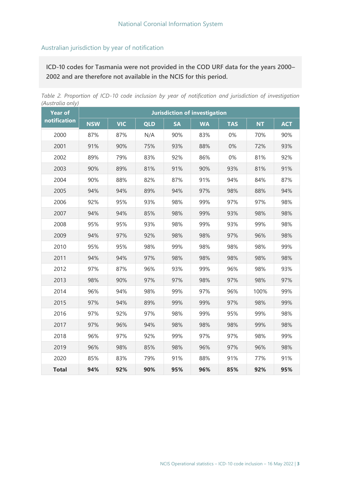## Australian jurisdiction by year of notification

**ICD-10 codes for Tasmania were not provided in the COD URF data for the years 2000– 2002 and are therefore not available in the NCIS for this period.**

*Table 2. Proportion of ICD-10 code inclusion by year of notification and jurisdiction of investigation (Australia only)*

| $\cdots$ ) $\prime$<br><b>Year of</b> | <b>Jurisdiction of investigation</b> |            |            |           |           |            |           |            |
|---------------------------------------|--------------------------------------|------------|------------|-----------|-----------|------------|-----------|------------|
| notification                          | <b>NSW</b>                           | <b>VIC</b> | <b>QLD</b> | <b>SA</b> | <b>WA</b> | <b>TAS</b> | <b>NT</b> | <b>ACT</b> |
| 2000                                  | 87%                                  | 87%        | N/A        | 90%       | 83%       | 0%         | 70%       | 90%        |
| 2001                                  | 91%                                  | 90%        | 75%        | 93%       | 88%       | 0%         | 72%       | 93%        |
| 2002                                  | 89%                                  | 79%        | 83%        | 92%       | 86%       | 0%         | 81%       | 92%        |
| 2003                                  | 90%                                  | 89%        | 81%        | 91%       | 90%       | 93%        | 81%       | 91%        |
| 2004                                  | 90%                                  | 88%        | 82%        | 87%       | 91%       | 94%        | 84%       | 87%        |
| 2005                                  | 94%                                  | 94%        | 89%        | 94%       | 97%       | 98%        | 88%       | 94%        |
| 2006                                  | 92%                                  | 95%        | 93%        | 98%       | 99%       | 97%        | 97%       | 98%        |
| 2007                                  | 94%                                  | 94%        | 85%        | 98%       | 99%       | 93%        | 98%       | 98%        |
| 2008                                  | 95%                                  | 95%        | 93%        | 98%       | 99%       | 93%        | 99%       | 98%        |
| 2009                                  | 94%                                  | 97%        | 92%        | 98%       | 98%       | 97%        | 96%       | 98%        |
| 2010                                  | 95%                                  | 95%        | 98%        | 99%       | 98%       | 98%        | 98%       | 99%        |
| 2011                                  | 94%                                  | 94%        | 97%        | 98%       | 98%       | 98%        | 98%       | 98%        |
| 2012                                  | 97%                                  | 87%        | 96%        | 93%       | 99%       | 96%        | 98%       | 93%        |
| 2013                                  | 98%                                  | 90%        | 97%        | 97%       | 98%       | 97%        | 98%       | 97%        |
| 2014                                  | 96%                                  | 94%        | 98%        | 99%       | 97%       | 96%        | 100%      | 99%        |
| 2015                                  | 97%                                  | 94%        | 89%        | 99%       | 99%       | 97%        | 98%       | 99%        |
| 2016                                  | 97%                                  | 92%        | 97%        | 98%       | 99%       | 95%        | 99%       | 98%        |
| 2017                                  | 97%                                  | 96%        | 94%        | 98%       | 98%       | 98%        | 99%       | 98%        |
| 2018                                  | 96%                                  | 97%        | 92%        | 99%       | 97%       | 97%        | 98%       | 99%        |
| 2019                                  | 96%                                  | 98%        | 85%        | 98%       | 96%       | 97%        | 96%       | 98%        |
| 2020                                  | 85%                                  | 83%        | 79%        | 91%       | 88%       | 91%        | 77%       | 91%        |
| <b>Total</b>                          | 94%                                  | 92%        | 90%        | 95%       | 96%       | 85%        | 92%       | 95%        |